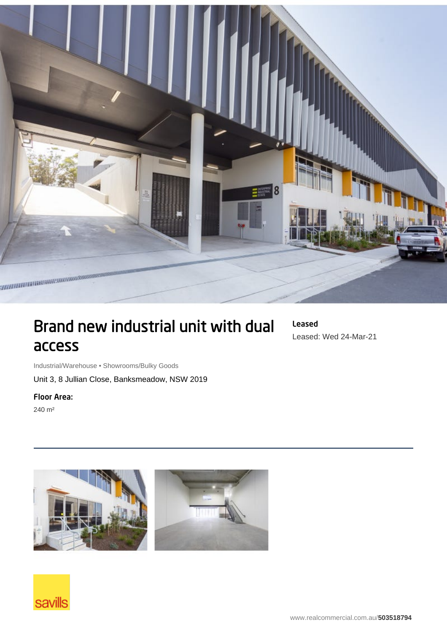

## Brand new industrial unit with dual access

Leased Leased: Wed 24-Mar-21

Industrial/Warehouse • Showrooms/Bulky Goods

Unit 3, 8 Jullian Close, Banksmeadow, NSW 2019

## Floor Area:

240 m²